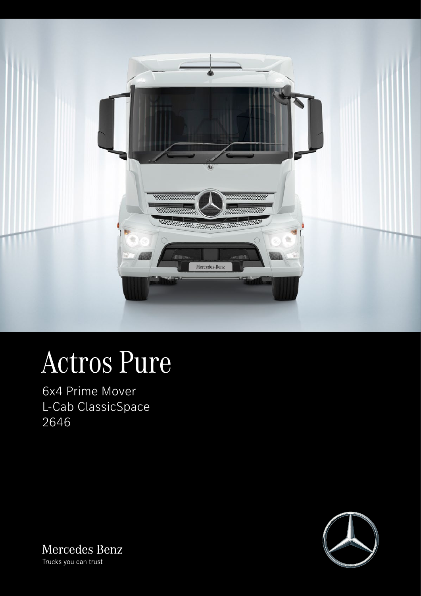

# Actros Pure

6x4 Prime Mover L-Cab ClassicSpace 2646



Mercedes-Benz Trucks you can trust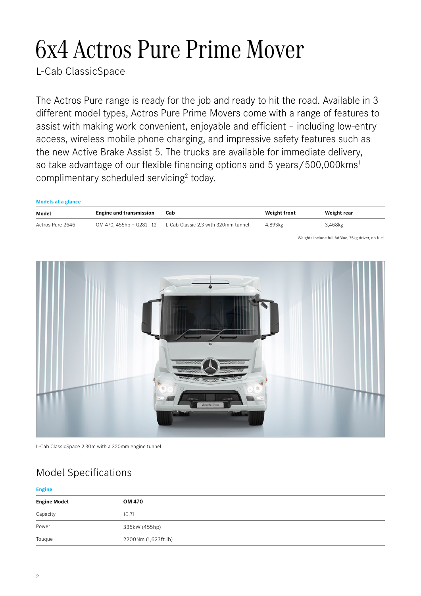## 6x4 Actros Pure Prime Mover

L-Cab ClassicSpace

The Actros Pure range is ready for the job and ready to hit the road. Available in 3 different model types, Actros Pure Prime Movers come with a range of features to assist with making work convenient, enjoyable and efficient – including low-entry access, wireless mobile phone charging, and impressive safety features such as the new Active Brake Assist 5. The trucks are available for immediate delivery, so take advantage of our flexible financing options and 5 years/500,000kms<sup>1</sup> complimentary scheduled servicing<sup>2</sup> today.

| <b>Models at a glance</b> |                                |                                                               |                     |             |
|---------------------------|--------------------------------|---------------------------------------------------------------|---------------------|-------------|
| Model                     | <b>Engine and transmission</b> | Cab                                                           | <b>Weight front</b> | Weight rear |
| Actros Pure 2646          |                                | OM 470, 455hp + G281 - 12 L-Cab Classic 2.3 with 320mm tunnel | 4,893kg             | 3,468kg     |

Weights include full AdBlue, 75kg driver, no fuel.



L-Cab ClassicSpace 2.30m with a 320mm engine tunnel

### Model Specifications

#### **Engine**

| <b>Engine Model</b> | OM 470              |  |
|---------------------|---------------------|--|
| Capacity            | 10.7l               |  |
| Power               | 335kW (455hp)       |  |
| Touque              | 2200Nm (1,623ft.lb) |  |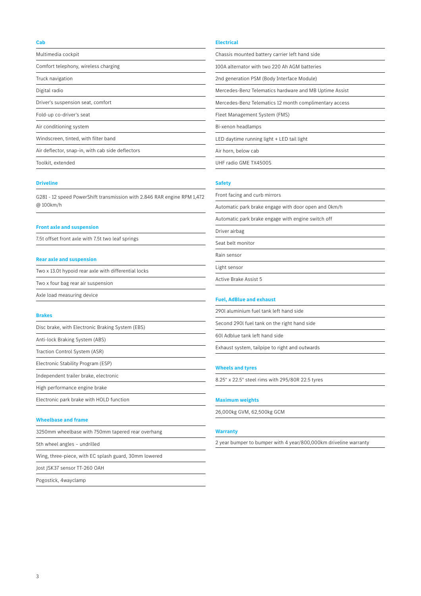#### **Cab**

Multimedia cockpit

Comfort telephony, wireless charging

Truck navigation

Digital radio

Driver's suspension seat, comfort

Fold-up co-driver's seat

Air conditioning system

Windscreen, tinted, with filter band

Air deflector, snap-in, with cab side deflectors

Toolkit, extended

#### **Driveline**

G281 - 12 speed PowerShift transmission with 2.846 RAR engine RPM 1,472 @ 100km/h

#### **Front axle and suspension**

7.5t offset front axle with 7.5t two leaf springs

#### **Rear axle and suspension**

Two x 13.0t hypoid rear axle with differential locks

Two x four bag rear air suspension

Axle load measuring device

#### **Brakes**

|  |  | Disc brake, with Electronic Braking System (EBS) |  |  |  |
|--|--|--------------------------------------------------|--|--|--|
|--|--|--------------------------------------------------|--|--|--|

Anti-lock Braking System (ABS)

Traction Control System (ASR)

Electronic Stability Program (ESP)

Independent trailer brake, electronic

High performance engine brake

Electronic park brake with HOLD function

#### **Wheelbase and frame**

| 3250mm wheelbase with 750mm tapered rear overhang |  |
|---------------------------------------------------|--|
| 5th wheel angles - undrilled                      |  |

Wing, three-piece, with EC splash guard, 30mm lowered

Jost JSK37 sensor TT-260 OAH

Pogostick, 4wayclamp

#### **Electrical**

| Chassis mounted battery carrier left hand side         |  |
|--------------------------------------------------------|--|
| 100A alternator with two 220 Ah AGM batteries          |  |
| 2nd generation PSM (Body Interface Module)             |  |
| Mercedes-Benz Telematics hardware and MB Uptime Assist |  |
| Mercedes-Benz Telematics 12 month complimentary access |  |
| Fleet Management System (FMS)                          |  |
| Bi-xenon headlamps                                     |  |
| LED daytime running light + LED tail light             |  |
| Air horn, below cab                                    |  |

UHF radio GME TX4500S

#### **Safety**

Front facing and curb mirrors

Automatic park brake engage with door open and 0km/h

Automatic park brake engage with engine switch off

Driver airbag

Seat belt monitor

Rain sensor

Light sensor

Active Brake Assist 5

#### **Fuel, AdBlue and exhaust**

290l aluminium fuel tank left hand side

Second 290l fuel tank on the right hand side

60l Adblue tank left hand side

Exhaust system, tailpipe to right and outwards

#### **Wheels and tyres**

8.25" x 22.5" steel rims with 295/80R 22.5 tyres

#### **Maximum weights**

26,000kg GVM, 62,500kg GCM

#### **Warranty**

2 year bumper to bumper with 4 year/800,000km driveline warranty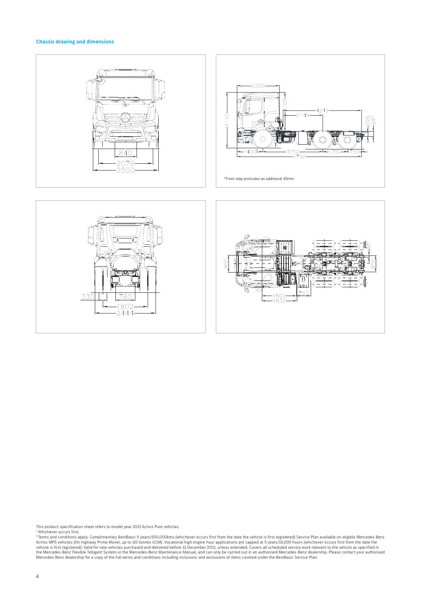#### **Chassis drawing and dimensions**





This product specification sheet refers to model year 2021 Actros Pure vehicles.

<sup>1</sup> Whichever occurs first.<br><sup>2</sup> Terms and conditions apply. Complimentary BestBasic 5 years/500,000kms (whichever occurs first from the date the vehicle is first registered) Service Plan available on eligible Mercedes-Benz